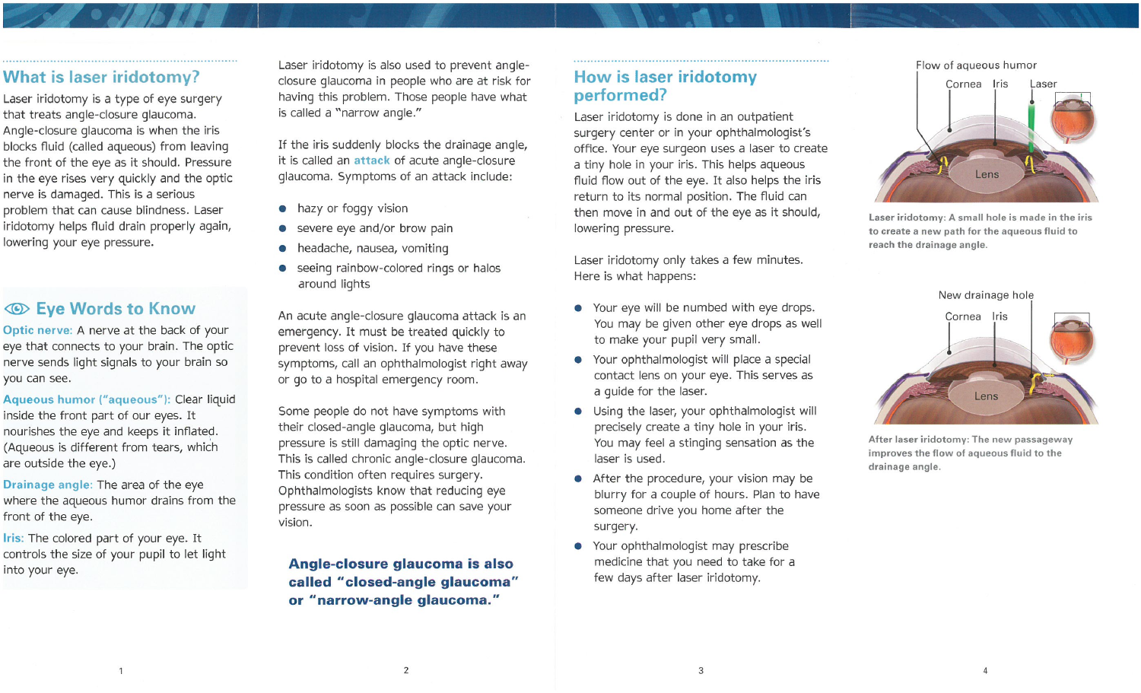### **What is laser iridotomy?**

Laser iridotomy is a type of eye surgery that treats angle-closure glaucoma. Angle-closure glaucoma is when the iris blocks fluid (called aqueous) from leaving the front of the eye as it should. Pressure in the eye rises very quickly and the optic nerve is damaged. This is a serious problem that can cause blindness. Laser iridotomy helps fluid drain properly again, lowering your eye pressure.

## **Eye Words to Know**

Optic nerve: A nerve at the back of your eye that connects to your brain. The optic nerve sends light signals to your brain so you can see.

Aqueous humor ("aqueous"): Clear liquid inside the front part of our eyes. It nourishes the eye and keeps it inflated. (Aqueous is different from tears, which are outside the eye.)

Drainage angle: The area of the eye where the aqueous humor drains from the front of the eye.

Iris: The colored part of your eye. It controls the size of your pupil to let light into your eye.

 $\overline{1}$ 

Laser iridotomy is also used to prevent angleclosure glaucoma in people who are at risk for having this problem. Those people have what is called a "narrow angle."

If the iris suddenly blocks the drainage angle, it is called an attack of acute angle-closure glaucoma. Symptoms of an attack include:

- hazy or foggy vision
- severe eye and/or brow pain
- headache, nausea, vomiting
- seeing rainbow-colored rings or halos around lights

An acute angle-closure glaucoma attack is an emergency. It must be treated quickly to prevent loss of vision. If you have these symptoms, call an ophthalmologist right away or go to a hospital emergency room.

Some people do not have symptoms with their closed-angle glaucoma, but high pressure is still damaging the optic nerve. This is called chronic angle-closure glaucoma. This condition often requires surgery. Ophthalmologists know that reducing eye pressure as soon as possible can save your vision.

Angle-closure glaucoma is also called "closed-angle glaucoma" or "narrow-angle glaucoma."

 $\overline{2}$ 

# **How is laser iridotomy** performed?

Laser iridotomy is done in an outpatient surgery center or in your ophthalmologist's office. Your eye surgeon uses a laser to create a tiny hole in your iris. This helps aqueous fluid flow out of the eye. It also helps the iris return to its normal position. The fluid can then move in and out of the eye as it should, lowering pressure.

Laser iridotomy only takes a few minutes. Here is what happens:

- Your eye will be numbed with eye drops. You may be given other eye drops as well to make your pupil very small.
- Your ophthalmologist will place a special contact lens on your eye. This serves as a quide for the laser.
- Using the laser, your ophthalmologist will precisely create a tiny hole in your iris. You may feel a stinging sensation as the laser is used.
- After the procedure, your vision may be blurry for a couple of hours. Plan to have someone drive you home after the surgery.
- Your ophthalmologist may prescribe medicine that you need to take for a few days after laser iridotomy.



Flow of aqueous humor

Laser iridotomy: A small hole is made in the iris to create a new path for the aqueous fluid to reach the drainage angle.



After laser iridotomy: The new passageway improves the flow of aqueous fluid to the drainage angle.